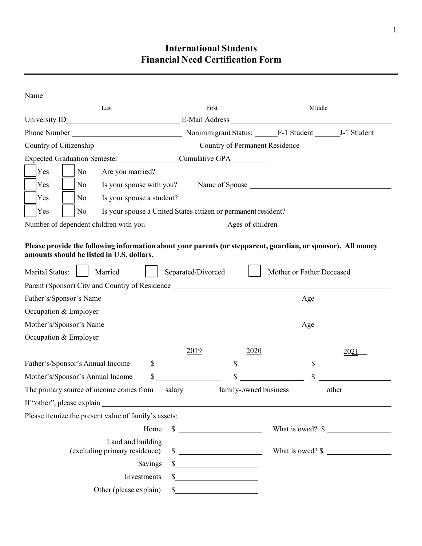# **International Students Financial Need Certification Form**

| Name                                                                      |                                                               |                                       |
|---------------------------------------------------------------------------|---------------------------------------------------------------|---------------------------------------|
| Last                                                                      | First                                                         | Middle                                |
|                                                                           |                                                               |                                       |
|                                                                           |                                                               |                                       |
| Country of Citizenship Country of Permanent Residence                     |                                                               |                                       |
| Expected Graduation Semester Cumulative GPA                               |                                                               |                                       |
| Yes<br>N <sub>o</sub><br>Are you married?                                 |                                                               |                                       |
| Yes<br>N <sub>0</sub>                                                     |                                                               |                                       |
| Yes<br>Is your spouse a student?<br>No                                    |                                                               |                                       |
| Yes<br>No                                                                 | Is your spouse a United States citizen or permanent resident? |                                       |
|                                                                           |                                                               |                                       |
| amounts should be listed in U.S. dollars.<br>Marital Status:  <br>Married | Separated/Divorced                                            | Mother or Father Deceased             |
| Parent (Sponsor) City and Country of Residence                            |                                                               |                                       |
| Father's/Sponsor's Name                                                   |                                                               | Age                                   |
| Occupation & Employer                                                     |                                                               |                                       |
| Mother's/Sponsor's Name                                                   |                                                               | Age                                   |
| Occupation & Employer                                                     |                                                               |                                       |
|                                                                           | 2019<br>2020                                                  | 2021                                  |
| Father's/Sponsor's Annual Income                                          | $\frac{\text{S}}{\text{S}}$                                   | $\frac{\text{S}}{\text{S}}$<br>$\sim$ |
| Mother's/Sponsor's Annual Income                                          | $\mathbb{S}$<br>$\mathbb{S}$                                  | $\mathbb{S}$                          |
| The primary source of income comes from                                   | salary<br>family-owned business                               | other                                 |
| If "other", please explain                                                |                                                               |                                       |
| Please itemize the present value of family's assets:                      |                                                               |                                       |
| Home                                                                      | $\frac{\text{S}}{\text{S}}$                                   | What is owed? $\frac{1}{2}$           |
| Land and building<br>(excluding primary residence)                        | $\frac{\text{S}}{\text{S}}$                                   |                                       |
| Savings                                                                   | $\frac{1}{2}$                                                 |                                       |
| Investments                                                               | $\frac{\text{S}}{\text{S}}$                                   |                                       |
| Other (please explain)                                                    |                                                               |                                       |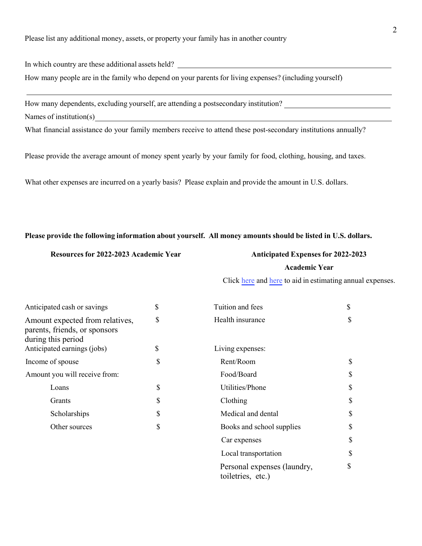In which country are these additional assets held?

How many people are in the family who depend on your parents for living expenses? (including yourself)

How many dependents, excluding yourself, are attending a postsecondary institution? Names of institution(s)

What financial assistance do your family members receive to attend these post-secondary institutions annually?

Please provide the average amount of money spent yearly by your family for food, clothing, housing, and taxes.

What other expenses are incurred on a yearly basis? Please explain and provide the amount in U.S. dollars.

### **Please provide the following information about yourself. All money amounts should be listed in U.S. dollars.**

### **Resources for 2022-2023 Academic Year Anticipated Expenses for 2022-2023**

### **Academic Year**

Click [here](https://isso.dso.iastate.edu/resources/students_scholars/expense-worksheet/undergraduate-expenses) and [here](https://www.financialaid.iastate.edu/cost/cost-of-attendance/graduate-students/) to aid in estimating annual expenses.

| Anticipated cash or savings                                                            | \$<br>Tuition and fees                           | \$ |
|----------------------------------------------------------------------------------------|--------------------------------------------------|----|
| Amount expected from relatives,<br>parents, friends, or sponsors<br>during this period | \$<br>Health insurance                           | \$ |
| Anticipated earnings (jobs)                                                            | \$<br>Living expenses:                           |    |
| Income of spouse                                                                       | \$<br>Rent/Room                                  | \$ |
| Amount you will receive from:                                                          | Food/Board                                       | \$ |
| Loans                                                                                  | \$<br>Utilities/Phone                            | \$ |
| Grants                                                                                 | \$<br>Clothing                                   | \$ |
| Scholarships                                                                           | \$<br>Medical and dental                         | \$ |
| Other sources                                                                          | \$<br>Books and school supplies                  | \$ |
|                                                                                        | Car expenses                                     | \$ |
|                                                                                        | Local transportation                             | \$ |
|                                                                                        | Personal expenses (laundry,<br>toiletries, etc.) | \$ |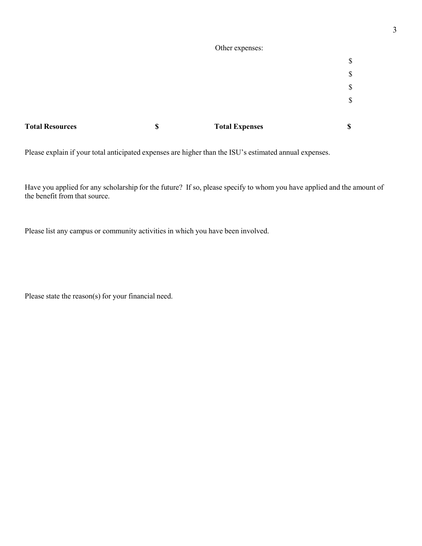|                        | Other expenses:             |    |
|------------------------|-----------------------------|----|
|                        |                             | \$ |
|                        |                             | \$ |
|                        |                             | \$ |
|                        |                             | \$ |
|                        |                             |    |
| <b>Total Resources</b> | \$<br><b>Total Expenses</b> | \$ |

Please explain if your total anticipated expenses are higher than the ISU's estimated annual expenses.

Have you applied for any scholarship for the future? If so, please specify to whom you have applied and the amount of the benefit from that source.

Please list any campus or community activities in which you have been involved.

Please state the reason(s) for your financial need.